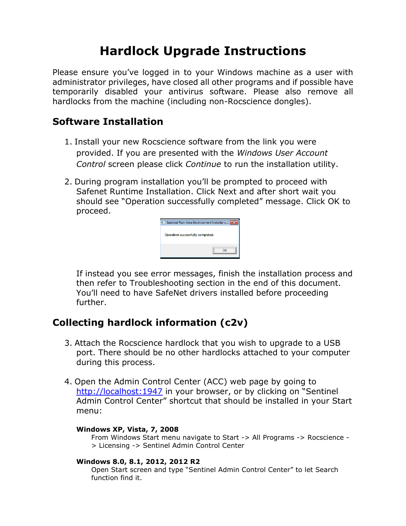## **Hardlock Upgrade Instructions**

Please ensure you've logged in to your Windows machine as a user with administrator privileges, have closed all other programs and if possible have temporarily disabled your antivirus software. Please also remove all hardlocks from the machine (including non-Rocscience dongles).

### **Software Installation**

- 1. Install your new Rocscience software from the link you were provided. If you are presented with the *Windows User Account Control* screen please click *Continue* to run the installation utility.
- 2. During program installation you'll be prompted to proceed with Safenet Runtime Installation. Click Next and after short wait you should see "Operation successfully completed" message. Click OK to proceed.



If instead you see error messages, finish the installation process and then refer to Troubleshooting section in the end of this document. You'll need to have SafeNet drivers installed before proceeding further.

## **Collecting hardlock information (c2v)**

- 3. Attach the Rocscience hardlock that you wish to upgrade to a USB port. There should be no other hardlocks attached to your computer during this process.
- 4. Open the Admin Control Center (ACC) web page by going to [http://localhost:1947](http://localhost:1947/) in your browser, or by clicking on "Sentinel Admin Control Center" shortcut that should be installed in your Start menu:

#### **Windows XP, Vista, 7, 2008**

From Windows Start menu navigate to Start -> All Programs -> Rocscience - > Licensing -> Sentinel Admin Control Center

#### **Windows 8.0, 8.1, 2012, 2012 R2**

Open Start screen and type "Sentinel Admin Control Center" to let Search function find it.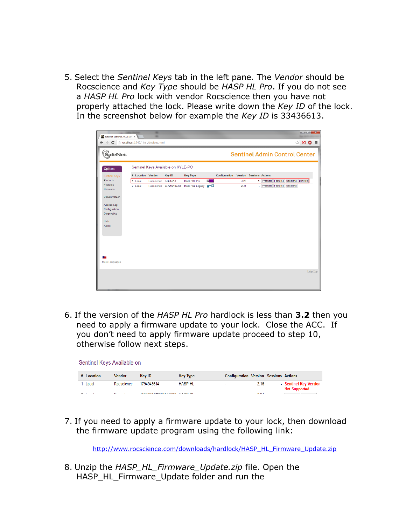5. Select the *Sentinel Keys* tab in the left pane. The *Vendor* should be Rocscience and *Key Type* should be *HASP HL Pro*. If you do not see a *HASP HL Pro* lock with vendor Rocscience then you have not properly attached the lock. Please write down the *Key ID* of the lock. In the screenshot below for example the *Key ID* is 33436613.

| SafeNet Sentinel ACC: Sen                |                   |            |                                    |                                           |           |               |      |                                 |            |                                      | lo Ci   | $\mathbf{x}$    |
|------------------------------------------|-------------------|------------|------------------------------------|-------------------------------------------|-----------|---------------|------|---------------------------------|------------|--------------------------------------|---------|-----------------|
| ← → C   bcalhost:1947/_int_/devices.html |                   |            |                                    |                                           |           |               |      |                                 |            |                                      | ☆ M O ≡ |                 |
| SafeNet.                                 |                   |            |                                    |                                           |           |               |      |                                 |            | <b>Sentinel Admin Control Center</b> |         |                 |
| Options                                  |                   |            | Sentinel Keys Available on KYLE-PC |                                           |           |               |      |                                 |            |                                      |         |                 |
| <b>Sentinel Keys</b>                     | # Location Vendor |            | Key ID                             | <b>Key Type</b>                           |           | Configuration |      | <b>Version</b> Sessions Actions |            |                                      |         |                 |
| Products<br>Features                     | Local<br>1        | Rocscience | 33436613                           | <b>HASP HL Pro</b>                        | в<br>- 13 |               | 3.25 |                                 | 1 Products | Features Sessions Blink on           |         |                 |
| <b>Sessions</b>                          | 2 Local           |            |                                    | Rocscience 647290100356 HASP SL Legacy TT |           |               | 2.31 |                                 |            | - Products Features Sessions         |         |                 |
| Update/Attach                            |                   |            |                                    |                                           |           |               |      |                                 |            |                                      |         |                 |
| Access Log                               |                   |            |                                    |                                           |           |               |      |                                 |            |                                      |         |                 |
| Configuration<br><b>Diagnostics</b>      |                   |            |                                    |                                           |           |               |      |                                 |            |                                      |         |                 |
| Help<br>About                            |                   |            |                                    |                                           |           |               |      |                                 |            |                                      |         |                 |
|                                          |                   |            |                                    |                                           |           |               |      |                                 |            |                                      |         |                 |
|                                          |                   |            |                                    |                                           |           |               |      |                                 |            |                                      |         |                 |
| 트                                        |                   |            |                                    |                                           |           |               |      |                                 |            |                                      |         |                 |
| More Languages                           |                   |            |                                    |                                           |           |               |      |                                 |            |                                      |         |                 |
|                                          |                   |            |                                    |                                           |           |               |      |                                 |            |                                      |         | <b>Help Top</b> |
|                                          |                   |            |                                    |                                           |           |               |      |                                 |            |                                      |         |                 |
|                                          |                   |            |                                    |                                           |           |               |      |                                 |            |                                      |         |                 |

6. If the version of the *HASP HL Pro* hardlock is less than **3.2** then you need to apply a firmware update to your lock. Close the ACC. If you don't need to apply firmware update proceed to step 10, otherwise follow next steps.

| Sentinel Keys Available on |                |                                                   |                 |            |                   |                                                |
|----------------------------|----------------|---------------------------------------------------|-----------------|------------|-------------------|------------------------------------------------|
| # Location                 | Vendor         | Key ID                                            | <b>Key Type</b> |            |                   | <b>Configuration Version Sessions Actions</b>  |
| Local                      | Rocscience     | 1794943614                                        | <b>HASP HL</b>  |            | 2.16              | - Sentinel Key Version<br><b>Not Supported</b> |
| $\sim$                     | $\blacksquare$ | <b>JJONESTITE CONSIDERATION AND CONSIDERATION</b> |                 | ---------- | $A \rightarrow A$ |                                                |

7. If you need to apply a firmware update to your lock, then download the firmware update program using the following link:

[http://www.rocscience.com/downloads/hardlock/HASP\\_HL\\_Firmware\\_Update.zip](http://www.rocscience.com/downloads/hardlock/HASP_HL_Firmware_Update.zip)

8. Unzip the *HASP\_HL\_Firmware\_Update.zip* file. Open the HASP\_HL\_Firmware\_Update folder and run the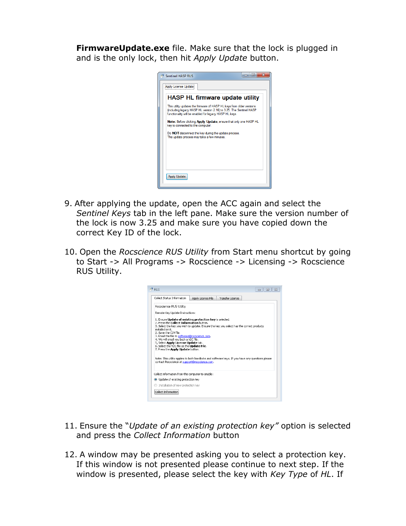**FirmwareUpdate.exe** file. Make sure that the lock is plugged in and is the only lock, then hit *Apply Update* button.

| <b>Sentinel HASP RUS</b>                                                                                                                                                                              | <b>10 B</b> |
|-------------------------------------------------------------------------------------------------------------------------------------------------------------------------------------------------------|-------------|
| Apply License Update                                                                                                                                                                                  |             |
| HASP HL firmware update utility                                                                                                                                                                       |             |
| This utility updates the firmware of HASP HL keys from older versions<br>(including legacy HASP HL version 2.16) to 3.25. The Sentinel HASP<br>functionality will be enabled for legacy HASP HL keys. |             |
| Note: Before clicking Apply Update, ensure that only one HASP HL<br>key is connected to the computer.                                                                                                 |             |
| Do NOT disconnect the key during the update process.<br>The update process may take a few minutes.                                                                                                    |             |
|                                                                                                                                                                                                       |             |
|                                                                                                                                                                                                       |             |
| <b>Apply Update</b>                                                                                                                                                                                   |             |
|                                                                                                                                                                                                       |             |

- 9. After applying the update, open the ACC again and select the *Sentinel Keys* tab in the left pane. Make sure the version number of the lock is now 3.25 and make sure you have copied down the correct Key ID of the lock.
- 10. Open the *Rocscience RUS Utility* from Start menu shortcut by going to Start -> All Programs -> Rocscience -> Licensing -> Rocscience RUS Utility.



- 11. Ensure the "*Update of an existing protection key"* option is selected and press the *Collect Information* button
- 12. A window may be presented asking you to select a protection key. If this window is not presented please continue to next step. If the window is presented, please select the key with *Key Type* of *HL*. If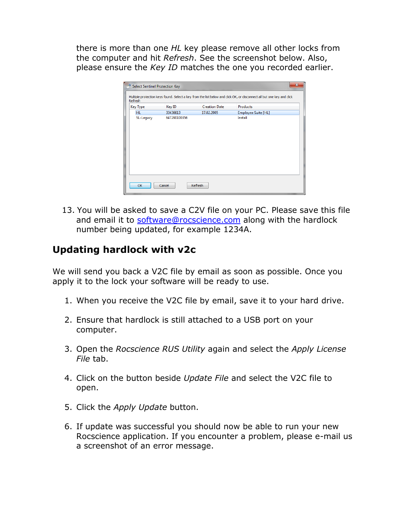there is more than one *HL* key please remove all other locks from the computer and hit *Refresh*. See the screenshot below. Also, please ensure the *Key ID* matches the one you recorded earlier.

| <b>Key Type</b> | Key ID   | <b>Creation Date</b> | Products            |
|-----------------|----------|----------------------|---------------------|
| HL.             | 33436613 | 17.02.2005           | Employee Suite [HL] |
| SL-Legacy       |          |                      |                     |

13. You will be asked to save a C2V file on your PC. Please save this file and email it to [software@rocscience.com](mailto:software@rocscience.com) along with the hardlock number being updated, for example 1234A.

## **Updating hardlock with v2c**

We will send you back a V2C file by email as soon as possible. Once you apply it to the lock your software will be ready to use.

- 1. When you receive the V2C file by email, save it to your hard drive.
- 2. Ensure that hardlock is still attached to a USB port on your computer.
- 3. Open the *Rocscience RUS Utility* again and select the *Apply License File* tab.
- 4. Click on the button beside *Update File* and select the V2C file to open.
- 5. Click the *Apply Update* button.
- 6. If update was successful you should now be able to run your new Rocscience application. If you encounter a problem, please e-mail us a screenshot of an error message.